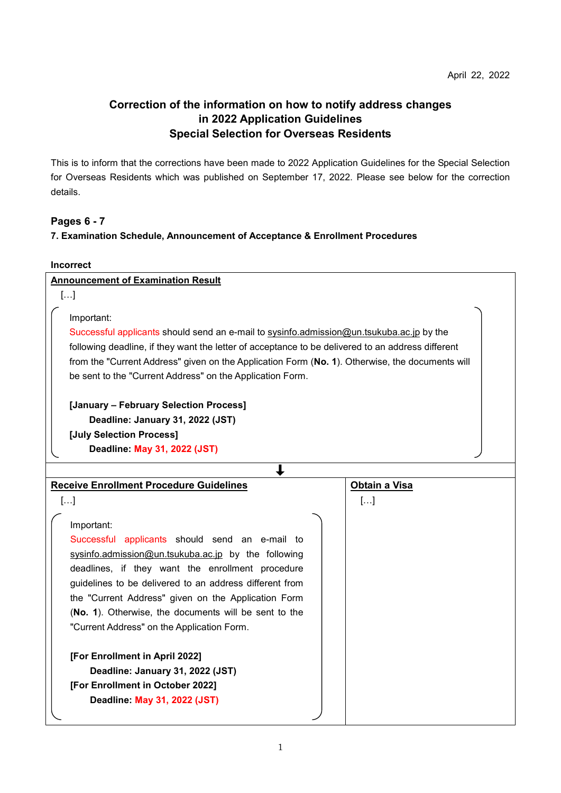## **Correction of the information on how to notify address changes in 2022 Application Guidelines Special Selection for Overseas Residents**

This is to inform that the corrections have been made to 2022 Application Guidelines for the Special Selection for Overseas Residents which was published on September 17, 2022. Please see below for the correction details.

## **Pages 6 - 7**

## **7. Examination Schedule, Announcement of Acceptance & Enrollment Procedures**

| <b>Incorrect</b>                                                                                                                                                                                                                                                                                                                                                                                                                                                                                                                           |               |  |
|--------------------------------------------------------------------------------------------------------------------------------------------------------------------------------------------------------------------------------------------------------------------------------------------------------------------------------------------------------------------------------------------------------------------------------------------------------------------------------------------------------------------------------------------|---------------|--|
| <b>Announcement of Examination Result</b>                                                                                                                                                                                                                                                                                                                                                                                                                                                                                                  |               |  |
| []                                                                                                                                                                                                                                                                                                                                                                                                                                                                                                                                         |               |  |
| Important:<br>Successful applicants should send an e-mail to sysinfo.admission@un.tsukuba.ac.jp by the<br>following deadline, if they want the letter of acceptance to be delivered to an address different<br>from the "Current Address" given on the Application Form (No. 1). Otherwise, the documents will<br>be sent to the "Current Address" on the Application Form.                                                                                                                                                                |               |  |
| [January - February Selection Process]                                                                                                                                                                                                                                                                                                                                                                                                                                                                                                     |               |  |
| Deadline: January 31, 2022 (JST)                                                                                                                                                                                                                                                                                                                                                                                                                                                                                                           |               |  |
| [July Selection Process]                                                                                                                                                                                                                                                                                                                                                                                                                                                                                                                   |               |  |
| Deadline: May 31, 2022 (JST)                                                                                                                                                                                                                                                                                                                                                                                                                                                                                                               |               |  |
|                                                                                                                                                                                                                                                                                                                                                                                                                                                                                                                                            |               |  |
| <b>Receive Enrollment Procedure Guidelines</b>                                                                                                                                                                                                                                                                                                                                                                                                                                                                                             | Obtain a Visa |  |
| $[]$                                                                                                                                                                                                                                                                                                                                                                                                                                                                                                                                       | $[]$          |  |
| Important:<br>Successful applicants should send an e-mail to<br>sysinfo.admission@un.tsukuba.ac.jp by the following<br>deadlines, if they want the enrollment procedure<br>guidelines to be delivered to an address different from<br>the "Current Address" given on the Application Form<br>(No. 1). Otherwise, the documents will be sent to the<br>"Current Address" on the Application Form.<br>[For Enrollment in April 2022]<br>Deadline: January 31, 2022 (JST)<br>[For Enrollment in October 2022]<br>Deadline: May 31, 2022 (JST) |               |  |